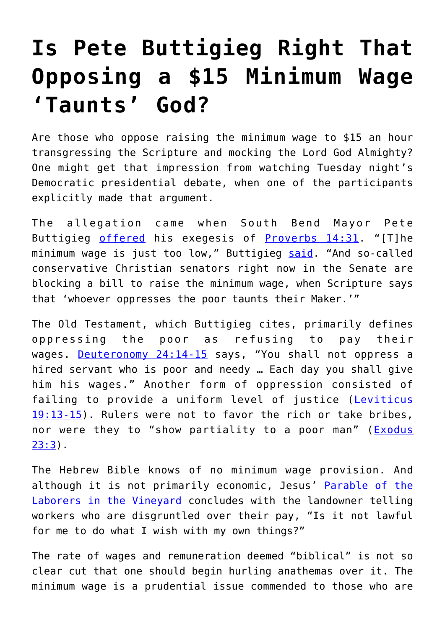## **[Is Pete Buttigieg Right That](https://intellectualtakeout.org/2019/08/is-pete-buttigieg-right-that-opposing-a-15-minimum-wage-taunts-god/) [Opposing a \\$15 Minimum Wage](https://intellectualtakeout.org/2019/08/is-pete-buttigieg-right-that-opposing-a-15-minimum-wage-taunts-god/) ['Taunts' God?](https://intellectualtakeout.org/2019/08/is-pete-buttigieg-right-that-opposing-a-15-minimum-wage-taunts-god/)**

Are those who oppose raising the minimum wage to \$15 an hour transgressing the Scripture and mocking the Lord God Almighty? One might get that impression from watching Tuesday night's Democratic presidential debate, when one of the participants explicitly made that argument.

The allegation came when South Bend Mayor Pete Buttigieg [offered](https://www.youtube.com/watch?v=boUYwvIfOYs) his exegesis of [Proverbs 14:31](https://www.biblegateway.com/passage/?search=Proverbs+14%3A31&version=KJV). "[T]he minimum wage is just too low," Buttigieg [said](https://www.nbcnews.com/politics/2020-election/democratic-debate-transcript-july-30-2019-n1036996). "And so-called conservative Christian senators right now in the Senate are blocking a bill to raise the minimum wage, when Scripture says that 'whoever oppresses the poor taunts their Maker.'"

The Old Testament, which Buttigieg cites, primarily defines oppressing the poor as refusing to pay their wages. [Deuteronomy 24:14-15](https://www.biblegateway.com/passage/?search=Deuteronomy+24%3A14-15&version=NKJV) says, "You shall not oppress a hired servant who is poor and needy … Each day you shall give him his wages." Another form of oppression consisted of failing to provide a uniform level of justice ([Leviticus](https://www.biblegateway.com/passage/?search=Lev.+19%3A13-15&version=NKJV) [19:13-15\)](https://www.biblegateway.com/passage/?search=Lev.+19%3A13-15&version=NKJV). Rulers were not to favor the rich or take bribes, nor were they to "show partiality to a poor man" ([Exodus](https://www.biblegateway.com/passage/?search=exodus+23%3A3&version=NKJV) [23:3](https://www.biblegateway.com/passage/?search=exodus+23%3A3&version=NKJV)).

The Hebrew Bible knows of no minimum wage provision. And although it is not primarily economic, Jesus' [Parable of the](https://www.biblegateway.com/passage/?search=Matthew+20%3A1-16&version=NKJV) [Laborers in the Vineyard](https://www.biblegateway.com/passage/?search=Matthew+20%3A1-16&version=NKJV) concludes with the landowner telling workers who are disgruntled over their pay, "Is it not lawful for me to do what I wish with my own things?"

The rate of wages and remuneration deemed "biblical" is not so clear cut that one should begin hurling anathemas over it. The minimum wage is a prudential issue commended to those who are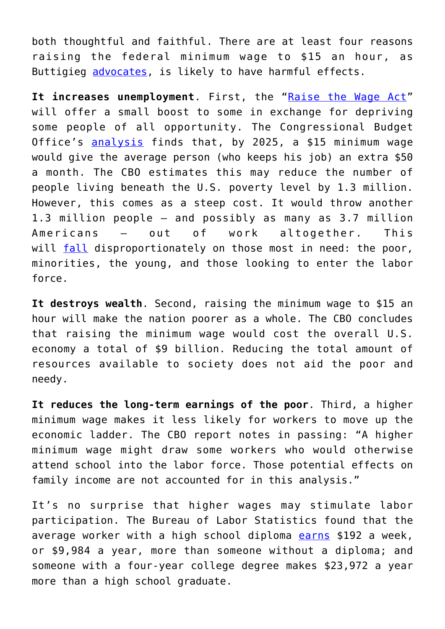both thoughtful and faithful. There are at least four reasons raising the federal minimum wage to \$15 an hour, as Buttigieg [advocates,](https://www.reuters.com/article/us-usa-election-buttigieg/democrat-buttigieg-unveils-plan-to-raise-pay-expand-worker-protections-idUSKCN1UL1EG) is likely to have harmful effects.

It increases unemployment. First, the "[Raise the Wage Act"](https://www.congress.gov/bill/116th-congress/house-bill/582) will offer a small boost to some in exchange for depriving some people of all opportunity. The Congressional Budget Office's [analysis](https://www.cbo.gov/system/files/2019-07/CBO-55410-MinimumWage2019.pdf) finds that, by 2025, a \$15 minimum wage would give the average person (who keeps his job) an extra \$50 a month. The CBO estimates this may reduce the number of people living beneath the U.S. poverty level by 1.3 million. However, this comes as a steep cost. It would throw another 1.3 million people – and possibly as many as 3.7 million Americans – out of work altogether. This will [fall](https://www.aei.org/publication/raising-minimum-wage-would-be-disastrous-for-minorities-especially-black-male-teens-whose-jobless-rate-is-now-44-3/) disproportionately on those most in need: the poor, minorities, the young, and those looking to enter the labor force.

**It destroys wealth**. Second, raising the minimum wage to \$15 an hour will make the nation poorer as a whole. The CBO concludes that raising the minimum wage would cost the overall U.S. economy a total of \$9 billion. Reducing the total amount of resources available to society does not aid the poor and needy.

**It reduces the long-term earnings of the poor**. Third, a higher minimum wage makes it less likely for workers to move up the economic ladder. The CBO report notes in passing: "A higher minimum wage might draw some workers who would otherwise attend school into the labor force. Those potential effects on family income are not accounted for in this analysis."

It's no surprise that higher wages may stimulate labor participation. The Bureau of Labor Statistics found that the average worker with a high school diploma [earns](https://www.bls.gov/careeroutlook/2018/data-on-display/education-pays.htm) \$192 a week, or \$9,984 a year, more than someone without a diploma; and someone with a four-year college degree makes \$23,972 a year more than a high school graduate.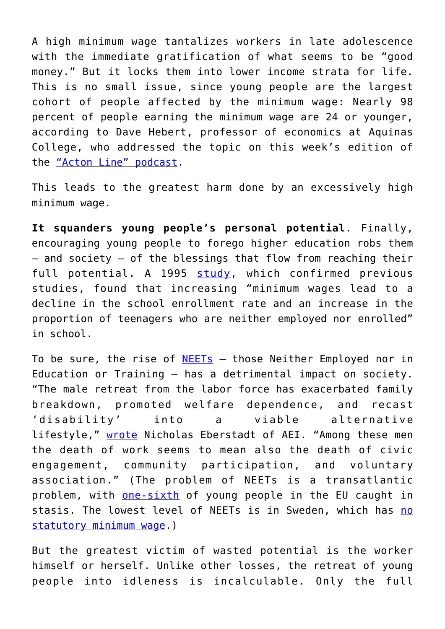A high minimum wage tantalizes workers in late adolescence with the immediate gratification of what seems to be "good money." But it locks them into lower income strata for life. This is no small issue, since young people are the largest cohort of people affected by the minimum wage: Nearly 98 percent of people earning the minimum wage are 24 or younger, according to Dave Hebert, professor of economics at Aquinas College, who addressed the topic on this week's edition of the ["Acton Line" podcast.](https://blog.acton.org/archives/110679-acton-line-podcast-the-reality-of-a-15-minimum-wage-should-big-tech-be-regulated.html)

This leads to the greatest harm done by an excessively high minimum wage.

**It squanders young people's personal potential**. Finally, encouraging young people to forego higher education robs them – and society – of the blessings that flow from reaching their full potential. A 1995 [study,](https://www.jstor.org/stable/1392374?seq=1#page_scan_tab_contents) which confirmed previous studies, found that increasing "minimum wages lead to a decline in the school enrollment rate and an increase in the proportion of teenagers who are neither employed nor enrolled" in school.

To be sure, the rise of  $NEETS - those Neither Emploved nor in$ Education or Training – has a detrimental impact on society. "The male retreat from the labor force has exacerbated family breakdown, promoted welfare dependence, and recast 'disability' into a viable alternative lifestyle," [wrote](http://www.aei.org/publication/the-idle-army-americas-unworking-men/) Nicholas Eberstadt of AEI. "Among these men the death of work seems to mean also the death of civic engagement, community participation, and voluntary association." (The problem of NEETs is a transatlantic problem, with [one-sixth](https://ec.europa.eu/eurostat/statistics-explained/index.php/Statistics_on_young_people_neither_in_employment_nor_in_education_or_training) of young people in the EU caught in stasis. The lowest level of NEETs is in Sweden, which has [no](https://www.cato.org/publications/commentary/let-data-speak-truth-behind-minimum-wage-laws) [statutory minimum wage](https://www.cato.org/publications/commentary/let-data-speak-truth-behind-minimum-wage-laws).)

But the greatest victim of wasted potential is the worker himself or herself. Unlike other losses, the retreat of young people into idleness is incalculable. Only the full